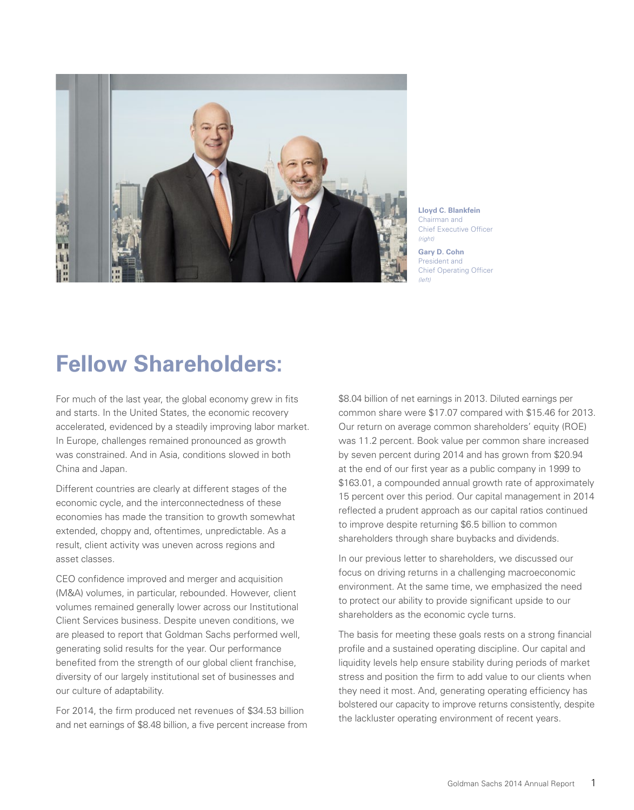

**Lloyd C. Blankfein** Chairman and Chief Executive Officer *(right)*

# **Fellow Shareholders:**

For much of the last year, the global economy grew in fits and starts. In the United States, the economic recovery accelerated, evidenced by a steadily improving labor market. In Europe, challenges remained pronounced as growth was constrained. And in Asia, conditions slowed in both China and Japan.

Different countries are clearly at different stages of the economic cycle, and the interconnectedness of these economies has made the transition to growth somewhat extended, choppy and, oftentimes, unpredictable. As a result, client activity was uneven across regions and asset classes.

CEO confidence improved and merger and acquisition (M&A) volumes, in particular, rebounded. However, client volumes remained generally lower across our Institutional Client Services business. Despite uneven conditions, we are pleased to report that Goldman Sachs performed well, generating solid results for the year. Our performance benefited from the strength of our global client franchise, diversity of our largely institutional set of businesses and our culture of adaptability.

For 2014, the firm produced net revenues of \$34.53 billion and net earnings of \$8.48 billion, a five percent increase from \$8.04 billion of net earnings in 2013. Diluted earnings per common share were \$17.07 compared with \$15.46 for 2013. Our return on average common shareholders' equity (ROE) was 11.2 percent. Book value per common share increased by seven percent during 2014 and has grown from \$20.94 at the end of our first year as a public company in 1999 to \$163.01, a compounded annual growth rate of approximately 15 percent over this period. Our capital management in 2014 reflected a prudent approach as our capital ratios continued to improve despite returning \$6.5 billion to common shareholders through share buybacks and dividends.

In our previous letter to shareholders, we discussed our focus on driving returns in a challenging macroeconomic environment. At the same time, we emphasized the need to protect our ability to provide significant upside to our shareholders as the economic cycle turns.

The basis for meeting these goals rests on a strong financial profile and a sustained operating discipline. Our capital and liquidity levels help ensure stability during periods of market stress and position the firm to add value to our clients when they need it most. And, generating operating efficiency has bolstered our capacity to improve returns consistently, despite the lackluster operating environment of recent years.

**Gary D. Cohn** President and Chief Operating Officer *(left)*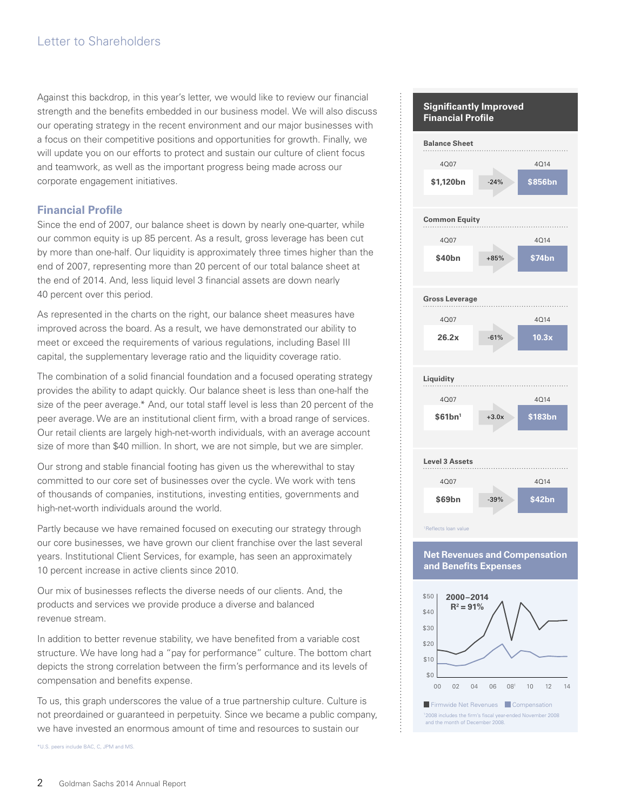Against this backdrop, in this year's letter, we would like to review our financial strength and the benefits embedded in our business model. We will also discuss our operating strategy in the recent environment and our major businesses with a focus on their competitive positions and opportunities for growth. Finally, we will update you on our efforts to protect and sustain our culture of client focus and teamwork, as well as the important progress being made across our corporate engagement initiatives.

# **Financial Profile**

Since the end of 2007, our balance sheet is down by nearly one-quarter, while our common equity is up 85 percent. As a result, gross leverage has been cut by more than one-half. Our liquidity is approximately three times higher than the end of 2007, representing more than 20 percent of our total balance sheet at the end of 2014. And, less liquid level 3 financial assets are down nearly 40 percent over this period.

As represented in the charts on the right, our balance sheet measures have improved across the board. As a result, we have demonstrated our ability to meet or exceed the requirements of various regulations, including Basel III capital, the supplementary leverage ratio and the liquidity coverage ratio.

The combination of a solid financial foundation and a focused operating strategy provides the ability to adapt quickly. Our balance sheet is less than one-half the size of the peer average.\* And, our total staff level is less than 20 percent of the peer average. We are an institutional client firm, with a broad range of services. Our retail clients are largely high-net-worth individuals, with an average account size of more than \$40 million. In short, we are not simple, but we are simpler.

Our strong and stable financial footing has given us the wherewithal to stay committed to our core set of businesses over the cycle. We work with tens of thousands of companies, institutions, investing entities, governments and high-net-worth individuals around the world.

Partly because we have remained focused on executing our strategy through our core businesses, we have grown our client franchise over the last several years. Institutional Client Services, for example, has seen an approximately 10 percent increase in active clients since 2010.

Our mix of businesses reflects the diverse needs of our clients. And, the products and services we provide produce a diverse and balanced revenue stream.

In addition to better revenue stability, we have benefited from a variable cost structure. We have long had a "pay for performance" culture. The bottom chart depicts the strong correlation between the firm's performance and its levels of compensation and benefits expense.

To us, this graph underscores the value of a true partnership culture. Culture is not preordained or guaranteed in perpetuity. Since we became a public company, we have invested an enormous amount of time and resources to sustain our

\* U.S. peers include BAC, C, JPM and MS.



## **Net Revenues and Compensation and Benefits Expenses**

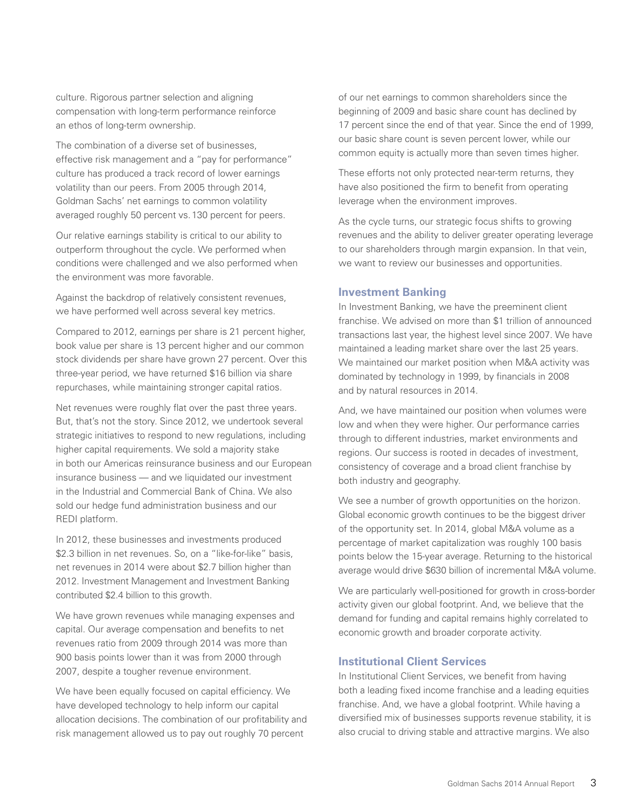culture. Rigorous partner selection and aligning compensation with long-term performance reinforce an ethos of long-term ownership.

The combination of a diverse set of businesses, effective risk management and a "pay for performance" culture has produced a track record of lower earnings volatility than our peers. From 2005 through 2014, Goldman Sachs' net earnings to common volatility averaged roughly 50 percent vs.130 percent for peers.

Our relative earnings stability is critical to our ability to outperform throughout the cycle. We performed when conditions were challenged and we also performed when the environment was more favorable.

Against the backdrop of relatively consistent revenues, we have performed well across several key metrics.

Compared to 2012, earnings per share is 21 percent higher, book value per share is 13 percent higher and our common stock dividends per share have grown 27 percent. Over this three-year period, we have returned \$16 billion via share repurchases, while maintaining stronger capital ratios.

Net revenues were roughly flat over the past three years. But, that's not the story. Since 2012, we undertook several strategic initiatives to respond to new regulations, including higher capital requirements. We sold a majority stake in both our Americas reinsurance business and our European insurance business — and we liquidated our investment in the Industrial and Commercial Bank of China. We also sold our hedge fund administration business and our REDI platform.

In 2012, these businesses and investments produced \$2.3 billion in net revenues. So, on a "like-for-like" basis, net revenues in 2014 were about \$2.7 billion higher than 2012. Investment Management and Investment Banking contributed \$2.4 billion to this growth.

We have grown revenues while managing expenses and capital. Our average compensation and benefits to net revenues ratio from 2009 through 2014 was more than 900 basis points lower than it was from 2000 through 2007, despite a tougher revenue environment.

We have been equally focused on capital efficiency. We have developed technology to help inform our capital allocation decisions. The combination of our profitability and risk management allowed us to pay out roughly 70 percent

of our net earnings to common shareholders since the beginning of 2009 and basic share count has declined by 17 percent since the end of that year. Since the end of 1999, our basic share count is seven percent lower, while our common equity is actually more than seven times higher.

These efforts not only protected near-term returns, they have also positioned the firm to benefit from operating leverage when the environment improves.

As the cycle turns, our strategic focus shifts to growing revenues and the ability to deliver greater operating leverage to our shareholders through margin expansion. In that vein, we want to review our businesses and opportunities.

### **Investment Banking**

In Investment Banking, we have the preeminent client franchise. We advised on more than \$1 trillion of announced transactions last year, the highest level since 2007. We have maintained a leading market share over the last 25 years. We maintained our market position when M&A activity was dominated by technology in 1999, by financials in 2008 and by natural resources in 2014.

And, we have maintained our position when volumes were low and when they were higher. Our performance carries through to different industries, market environments and regions. Our success is rooted in decades of investment, consistency of coverage and a broad client franchise by both industry and geography.

We see a number of growth opportunities on the horizon. Global economic growth continues to be the biggest driver of the opportunity set. In 2014, global M&A volume as a percentage of market capitalization was roughly 100 basis points below the 15-year average. Returning to the historical average would drive \$630 billion of incremental M&A volume.

We are particularly well-positioned for growth in cross-border activity given our global footprint. And, we believe that the demand for funding and capital remains highly correlated to economic growth and broader corporate activity.

# **Institutional Client Services**

In Institutional Client Services, we benefit from having both a leading fixed income franchise and a leading equities franchise. And, we have a global footprint. While having a diversified mix of businesses supports revenue stability, it is also crucial to driving stable and attractive margins. We also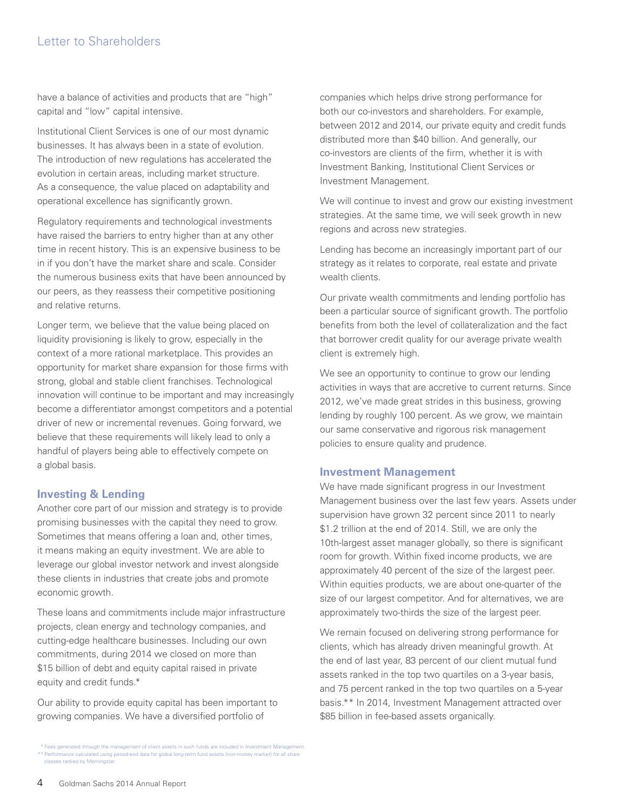# Letter to Shareholders

have a balance of activities and products that are "high" capital and "low" capital intensive.

Institutional Client Services is one of our most dynamic businesses. It has always been in a state of evolution. The introduction of new regulations has accelerated the evolution in certain areas, including market structure. As a consequence, the value placed on adaptability and operational excellence has significantly grown.

Regulatory requirements and technological investments have raised the barriers to entry higher than at any other time in recent history. This is an expensive business to be in if you don't have the market share and scale. Consider the numerous business exits that have been announced by our peers, as they reassess their competitive positioning and relative returns.

Longer term, we believe that the value being placed on liquidity provisioning is likely to grow, especially in the context of a more rational marketplace. This provides an opportunity for market share expansion for those firms with strong, global and stable client franchises. Technological innovation will continue to be important and may increasingly become a differentiator amongst competitors and a potential driver of new or incremental revenues. Going forward, we believe that these requirements will likely lead to only a handful of players being able to effectively compete on a global basis.

### **Investing & Lending**

Another core part of our mission and strategy is to provide promising businesses with the capital they need to grow. Sometimes that means offering a loan and, other times, it means making an equity investment. We are able to leverage our global investor network and invest alongside these clients in industries that create jobs and promote economic growth.

These loans and commitments include major infrastructure projects, clean energy and technology companies, and cutting-edge healthcare businesses. Including our own commitments, during 2014 we closed on more than \$15 billion of debt and equity capital raised in private equity and credit funds.\*

Our ability to provide equity capital has been important to growing companies. We have a diversified portfolio of

\* Fees generated through the management of client assets in such funds are included in Investment Management. \*\* Performance calculated using period-end data for global long-term fund assets (non-money market) for all share classes ranked by Morningstar.

companies which helps drive strong performance for both our co-investors and shareholders. For example, between 2012 and 2014, our private equity and credit funds distributed more than \$40 billion. And generally, our co-investors are clients of the firm, whether it is with Investment Banking, Institutional Client Services or Investment Management.

We will continue to invest and grow our existing investment strategies. At the same time, we will seek growth in new regions and across new strategies.

Lending has become an increasingly important part of our strategy as it relates to corporate, real estate and private wealth clients.

Our private wealth commitments and lending portfolio has been a particular source of significant growth. The portfolio benefits from both the level of collateralization and the fact that borrower credit quality for our average private wealth client is extremely high.

We see an opportunity to continue to grow our lending activities in ways that are accretive to current returns. Since 2012, we've made great strides in this business, growing lending by roughly 100 percent. As we grow, we maintain our same conservative and rigorous risk management policies to ensure quality and prudence.

### **Investment Management**

We have made significant progress in our Investment Management business over the last few years. Assets under supervision have grown 32 percent since 2011 to nearly \$1.2 trillion at the end of 2014. Still, we are only the 10th-largest asset manager globally, so there is significant room for growth. Within fixed income products, we are approximately 40 percent of the size of the largest peer. Within equities products, we are about one-quarter of the size of our largest competitor. And for alternatives, we are approximately two-thirds the size of the largest peer.

We remain focused on delivering strong performance for clients, which has already driven meaningful growth. At the end of last year, 83 percent of our client mutual fund assets ranked in the top two quartiles on a 3-year basis, and 75 percent ranked in the top two quartiles on a 5-year basis.\*\* In 2014, Investment Management attracted over \$85 billion in fee-based assets organically.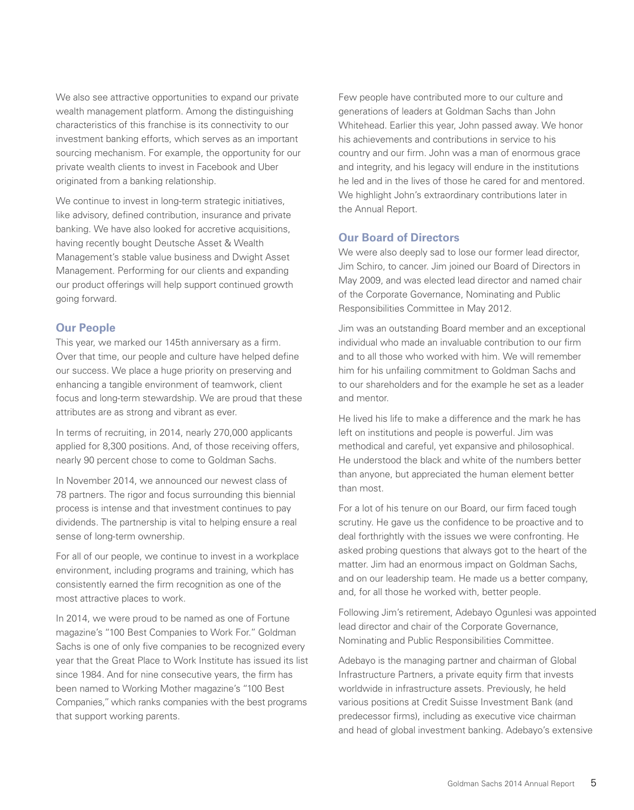We also see attractive opportunities to expand our private wealth management platform. Among the distinguishing characteristics of this franchise is its connectivity to our investment banking efforts, which serves as an important sourcing mechanism. For example, the opportunity for our private wealth clients to invest in Facebook and Uber originated from a banking relationship.

We continue to invest in long-term strategic initiatives, like advisory, defined contribution, insurance and private banking. We have also looked for accretive acquisitions, having recently bought Deutsche Asset & Wealth Management's stable value business and Dwight Asset Management. Performing for our clients and expanding our product offerings will help support continued growth going forward.

# **Our People**

This year, we marked our 145th anniversary as a firm. Over that time, our people and culture have helped define our success. We place a huge priority on preserving and enhancing a tangible environment of teamwork, client focus and long-term stewardship. We are proud that these attributes are as strong and vibrant as ever.

In terms of recruiting, in 2014, nearly 270,000 applicants applied for 8,300 positions. And, of those receiving offers, nearly 90 percent chose to come to Goldman Sachs.

In November 2014, we announced our newest class of 78 partners. The rigor and focus surrounding this biennial process is intense and that investment continues to pay dividends. The partnership is vital to helping ensure a real sense of long-term ownership.

For all of our people, we continue to invest in a workplace environment, including programs and training, which has consistently earned the firm recognition as one of the most attractive places to work.

In 2014, we were proud to be named as one of Fortune magazine's "100 Best Companies to Work For." Goldman Sachs is one of only five companies to be recognized every year that the Great Place to Work Institute has issued its list since 1984. And for nine consecutive years, the firm has been named to Working Mother magazine's "100 Best Companies," which ranks companies with the best programs that support working parents.

Few people have contributed more to our culture and generations of leaders at Goldman Sachs than John Whitehead. Earlier this year, John passed away. We honor his achievements and contributions in service to his country and our firm. John was a man of enormous grace and integrity, and his legacy will endure in the institutions he led and in the lives of those he cared for and mentored. We highlight John's extraordinary contributions later in the Annual Report.

### **Our Board of Directors**

We were also deeply sad to lose our former lead director, Jim Schiro, to cancer. Jim joined our Board of Directors in May 2009, and was elected lead director and named chair of the Corporate Governance, Nominating and Public Responsibilities Committee in May 2012.

Jim was an outstanding Board member and an exceptional individual who made an invaluable contribution to our firm and to all those who worked with him. We will remember him for his unfailing commitment to Goldman Sachs and to our shareholders and for the example he set as a leader and mentor.

He lived his life to make a difference and the mark he has left on institutions and people is powerful. Jim was methodical and careful, yet expansive and philosophical. He understood the black and white of the numbers better than anyone, but appreciated the human element better than most.

For a lot of his tenure on our Board, our firm faced tough scrutiny. He gave us the confidence to be proactive and to deal forthrightly with the issues we were confronting. He asked probing questions that always got to the heart of the matter. Jim had an enormous impact on Goldman Sachs, and on our leadership team. He made us a better company, and, for all those he worked with, better people.

Following Jim's retirement, Adebayo Ogunlesi was appointed lead director and chair of the Corporate Governance, Nominating and Public Responsibilities Committee.

Adebayo is the managing partner and chairman of Global Infrastructure Partners, a private equity firm that invests worldwide in infrastructure assets. Previously, he held various positions at Credit Suisse Investment Bank (and predecessor firms), including as executive vice chairman and head of global investment banking. Adebayo's extensive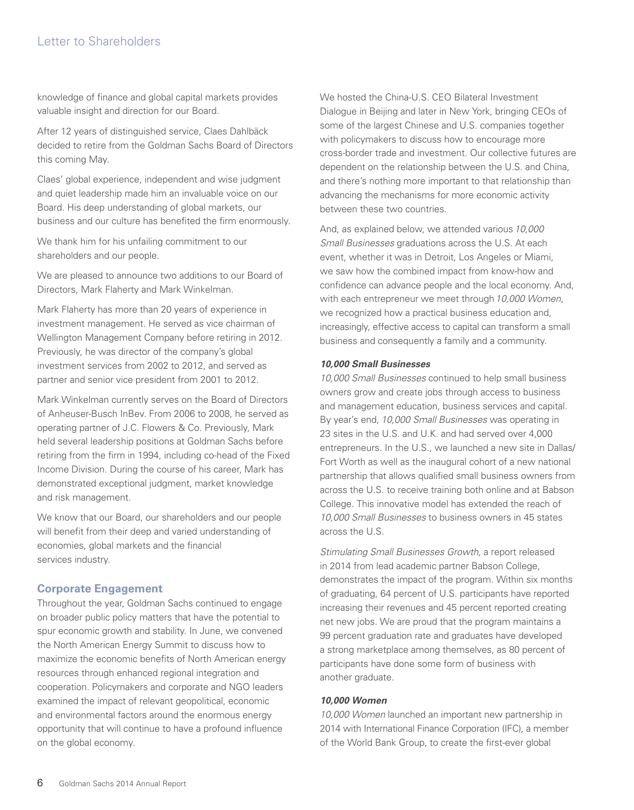# Letter to Shareholders

knowledge of finance and global capital markets provides valuable insight and direction for our Board.

After 12 years of distinguished service, Claes Dahlbäck decided to retire from the Goldman Sachs Board of Directors this coming May.

Claes' global experience, independent and wise judgment and quiet leadership made him an invaluable voice on our Board. His deep understanding of global markets, our business and our culture has benefited the firm enormously.

We thank him for his unfailing commitment to our shareholders and our people.

We are pleased to announce two additions to our Board of Directors, Mark Flaherty and Mark Winkelman.

Mark Flaherty has more than 20 years of experience in investment management. He served as vice chairman of Wellington Management Company before retiring in 2012. Previously, he was director of the company's global investment services from 2002 to 2012, and served as partner and senior vice president from 2001 to 2012.

Mark Winkelman currently serves on the Board of Directors of Anheuser-Busch InBev. From 2006 to 2008, he served as operating partner of J.C. Flowers & Co. Previously, Mark held several leadership positions at Goldman Sachs before retiring from the firm in 1994, including co-head of the Fixed Income Division. During the course of his career, Mark has demonstrated exceptional judgment, market knowledge and risk management.

We know that our Board, our shareholders and our people will benefit from their deep and varied understanding of economies, global markets and the financial services industry.

# **Corporate Engagement**

Throughout the year, Goldman Sachs continued to engage on broader public policy matters that have the potential to spur economic growth and stability. In June, we convened the North American Energy Summit to discuss how to maximize the economic benefits of North American energy resources through enhanced regional integration and cooperation. Policymakers and corporate and NGO leaders examined the impact of relevant geopolitical, economic and environmental factors around the enormous energy opportunity that will continue to have a profound influence on the global economy.

We hosted the China-U.S. CEO Bilateral Investment Dialogue in Beijing and later in New York, bringing CEOs of some of the largest Chinese and U.S. companies together with policymakers to discuss how to encourage more cross-border trade and investment. Our collective futures are dependent on the relationship between the U.S. and China, and there's nothing more important to that relationship than advancing the mechanisms for more economic activity between these two countries.

And, as explained below, we attended various *10,000 Small Businesses* graduations across the U.S. At each event, whether it was in Detroit, Los Angeles or Miami, we saw how the combined impact from know-how and confidence can advance people and the local economy. And, with each entrepreneur we meet through *10,000 Women*, we recognized how a practical business education and, increasingly, effective access to capital can transform a small business and consequently a family and a community.

#### *10,000 Small Businesses*

*10,000 Small Businesses* continued to help small business owners grow and create jobs through access to business and management education, business services and capital. By year's end, *10,000 Small Businesses* was operating in 23 sites in the U.S. and U.K. and had served over 4,000 entrepreneurs. In the U.S., we launched a new site in Dallas/ Fort Worth as well as the inaugural cohort of a new national partnership that allows qualified small business owners from across the U.S. to receive training both online and at Babson College. This innovative model has extended the reach of *10,000 Small Businesses* to business owners in 45 states across the U.S.

*Stimulating Small Businesses Growth*, a report released in 2014 from lead academic partner Babson College, demonstrates the impact of the program. Within six months of graduating, 64 percent of U.S. participants have reported increasing their revenues and 45 percent reported creating net new jobs. We are proud that the program maintains a 99 percent graduation rate and graduates have developed a strong marketplace among themselves, as 80 percent of participants have done some form of business with another graduate.

## *10,000 Women*

*10,000 Women* launched an important new partnership in 2014 with International Finance Corporation (IFC), a member of the World Bank Group, to create the first-ever global